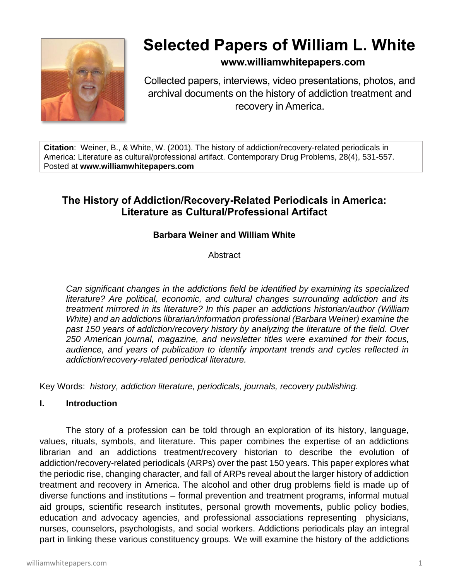

# **Selected Papers of William L. White**

## **www.williamwhitepapers.com**

Collected papers, interviews, video presentations, photos, and archival documents on the history of addiction treatment and recovery in America.

**Citation**: Weiner, B., & White, W. (2001). The history of addiction/recovery-related periodicals in America: Literature as cultural/professional artifact. Contemporary Drug Problems, 28(4), 531-557. Posted at **www.williamwhitepapers.com**

## **The History of Addiction/Recovery-Related Periodicals in America: Literature as Cultural/Professional Artifact**

### **Barbara Weiner and William White**

**Abstract** 

*Can significant changes in the addictions field be identified by examining its specialized literature? Are political, economic, and cultural changes surrounding addiction and its treatment mirrored in its literature? In this paper an addictions historian/author (William White) and an addictions librarian/information professional (Barbara Weiner) examine the past 150 years of addiction/recovery history by analyzing the literature of the field. Over 250 American journal, magazine, and newsletter titles were examined for their focus, audience, and years of publication to identify important trends and cycles reflected in addiction/recovery-related periodical literature.* 

Key Words: *history, addiction literature, periodicals, journals, recovery publishing.*

#### **I. Introduction**

The story of a profession can be told through an exploration of its history, language, values, rituals, symbols, and literature. This paper combines the expertise of an addictions librarian and an addictions treatment/recovery historian to describe the evolution of addiction/recovery-related periodicals (ARPs) over the past 150 years. This paper explores what the periodic rise, changing character, and fall of ARPs reveal about the larger history of addiction treatment and recovery in America. The alcohol and other drug problems field is made up of diverse functions and institutions – formal prevention and treatment programs, informal mutual aid groups, scientific research institutes, personal growth movements, public policy bodies, education and advocacy agencies, and professional associations representing physicians, nurses, counselors, psychologists, and social workers. Addictions periodicals play an integral part in linking these various constituency groups. We will examine the history of the addictions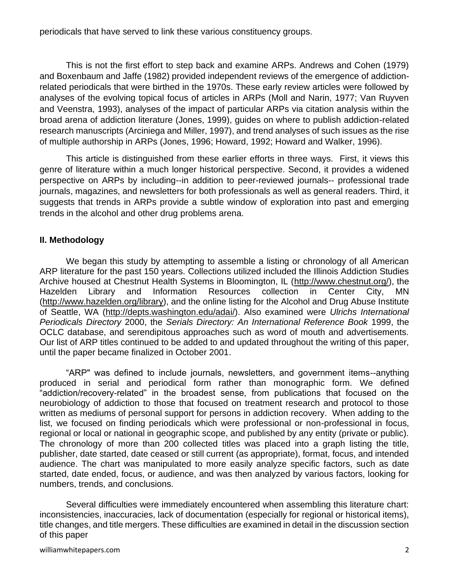periodicals that have served to link these various constituency groups.

This is not the first effort to step back and examine ARPs. Andrews and Cohen (1979) and Boxenbaum and Jaffe (1982) provided independent reviews of the emergence of addictionrelated periodicals that were birthed in the 1970s. These early review articles were followed by analyses of the evolving topical focus of articles in ARPs (Moll and Narin, 1977; Van Ruyven and Veenstra, 1993), analyses of the impact of particular ARPs via citation analysis within the broad arena of addiction literature (Jones, 1999), guides on where to publish addiction-related research manuscripts (Arciniega and Miller, 1997), and trend analyses of such issues as the rise of multiple authorship in ARPs (Jones, 1996; Howard, 1992; Howard and Walker, 1996).

This article is distinguished from these earlier efforts in three ways. First, it views this genre of literature within a much longer historical perspective. Second, it provides a widened perspective on ARPs by including--in addition to peer-reviewed journals-- professional trade journals, magazines, and newsletters for both professionals as well as general readers. Third, it suggests that trends in ARPs provide a subtle window of exploration into past and emerging trends in the alcohol and other drug problems arena.

#### **II. Methodology**

We began this study by attempting to assemble a listing or chronology of all American ARP literature for the past 150 years. Collections utilized included the Illinois Addiction Studies Archive housed at Chestnut Health Systems in Bloomington, IL [\(http://www.chestnut.org/\)](http://www.chestnut.org/), the Hazelden Library and Information Resources collection in Center City, MN [\(http://www.hazelden.org/library\)](http://www.hazelden.org/library), and the online listing for the Alcohol and Drug Abuse Institute of Seattle, WA [\(http://depts.washington.edu/adai/\)](http://depts.washington.edu/adai/). Also examined were *Ulrichs International Periodicals Directory* 2000, the *Serials Directory: An International Reference Book* 1999, the OCLC database, and serendipitous approaches such as word of mouth and advertisements. Our list of ARP titles continued to be added to and updated throughout the writing of this paper, until the paper became finalized in October 2001.

"ARP" was defined to include journals, newsletters, and government items--anything produced in serial and periodical form rather than monographic form. We defined "addiction/recovery-related" in the broadest sense, from publications that focused on the neurobiology of addiction to those that focused on treatment research and protocol to those written as mediums of personal support for persons in addiction recovery. When adding to the list, we focused on finding periodicals which were professional or non-professional in focus, regional or local or national in geographic scope, and published by any entity (private or public). The chronology of more than 200 collected titles was placed into a graph listing the title, publisher, date started, date ceased or still current (as appropriate), format, focus, and intended audience. The chart was manipulated to more easily analyze specific factors, such as date started, date ended, focus, or audience, and was then analyzed by various factors, looking for numbers, trends, and conclusions.

Several difficulties were immediately encountered when assembling this literature chart: inconsistencies, inaccuracies, lack of documentation (especially for regional or historical items), title changes, and title mergers. These difficulties are examined in detail in the discussion section of this paper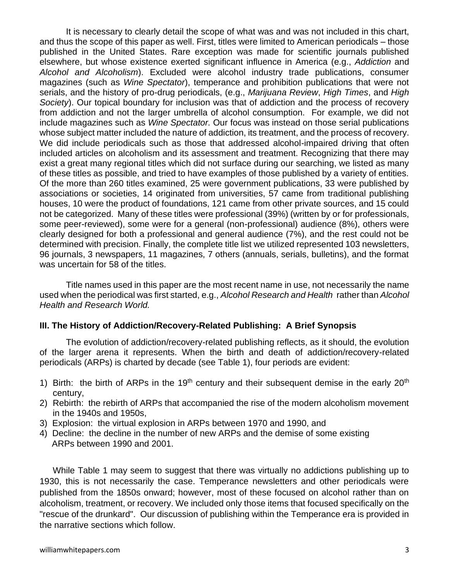It is necessary to clearly detail the scope of what was and was not included in this chart, and thus the scope of this paper as well. First, titles were limited to American periodicals – those published in the United States. Rare exception was made for scientific journals published elsewhere, but whose existence exerted significant influence in America (e.g., *Addiction* and *Alcohol and Alcoholism*). Excluded were alcohol industry trade publications, consumer magazines (such as *Wine Spectator*), temperance and prohibition publications that were not serials, and the history of pro-drug periodicals, (e.g., *Marijuana Review*, *High Times*, and *High Society*). Our topical boundary for inclusion was that of addiction and the process of recovery from addiction and not the larger umbrella of alcohol consumption. For example, we did not include magazines such as *Wine Spectator.* Our focus was instead on those serial publications whose subject matter included the nature of addiction, its treatment, and the process of recovery. We did include periodicals such as those that addressed alcohol-impaired driving that often included articles on alcoholism and its assessment and treatment. Recognizing that there may exist a great many regional titles which did not surface during our searching, we listed as many of these titles as possible, and tried to have examples of those published by a variety of entities. Of the more than 260 titles examined, 25 were government publications, 33 were published by associations or societies, 14 originated from universities, 57 came from traditional publishing houses, 10 were the product of foundations, 121 came from other private sources, and 15 could not be categorized. Many of these titles were professional (39%) (written by or for professionals, some peer-reviewed), some were for a general (non-professional) audience (8%), others were clearly designed for both a professional and general audience (7%), and the rest could not be determined with precision. Finally, the complete title list we utilized represented 103 newsletters, 96 journals, 3 newspapers, 11 magazines, 7 others (annuals, serials, bulletins), and the format was uncertain for 58 of the titles.

Title names used in this paper are the most recent name in use, not necessarily the name used when the periodical was first started, e.g., *Alcohol Research and Health* rather than *Alcohol Health and Research World.*

#### **III. The History of Addiction/Recovery-Related Publishing: A Brief Synopsis**

The evolution of addiction/recovery-related publishing reflects, as it should, the evolution of the larger arena it represents. When the birth and death of addiction/recovery-related periodicals (ARPs) is charted by decade (see Table 1), four periods are evident:

- 1) Birth: the birth of ARPs in the 19<sup>th</sup> century and their subsequent demise in the early 20<sup>th</sup> century,
- 2) Rebirth: the rebirth of ARPs that accompanied the rise of the modern alcoholism movement in the 1940s and 1950s,
- 3) Explosion: the virtual explosion in ARPs between 1970 and 1990, and
- 4) Decline: the decline in the number of new ARPs and the demise of some existing ARPs between 1990 and 2001.

While Table 1 may seem to suggest that there was virtually no addictions publishing up to 1930, this is not necessarily the case. Temperance newsletters and other periodicals were published from the 1850s onward; however, most of these focused on alcohol rather than on alcoholism, treatment, or recovery. We included only those items that focused specifically on the "rescue of the drunkard". Our discussion of publishing within the Temperance era is provided in the narrative sections which follow.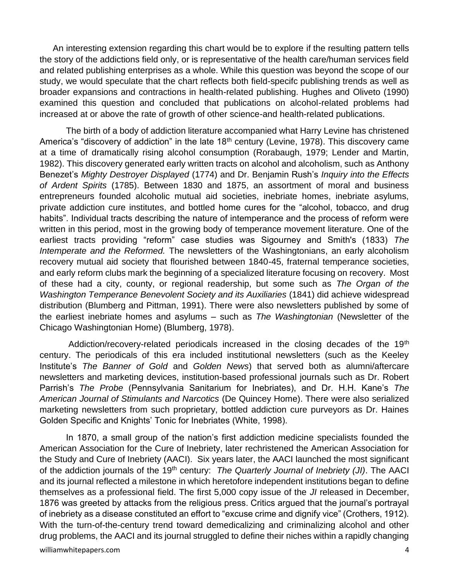An interesting extension regarding this chart would be to explore if the resulting pattern tells the story of the addictions field only, or is representative of the health care/human services field and related publishing enterprises as a whole. While this question was beyond the scope of our study, we would speculate that the chart reflects both field-specifc publishing trends as well as broader expansions and contractions in health-related publishing. Hughes and Oliveto (1990) examined this question and concluded that publications on alcohol-related problems had increased at or above the rate of growth of other science-and health-related publications.

The birth of a body of addiction literature accompanied what Harry Levine has christened America's "discovery of addiction" in the late  $18<sup>th</sup>$  century (Levine, 1978). This discovery came at a time of dramatically rising alcohol consumption (Rorabaugh, 1979; Lender and Martin, 1982). This discovery generated early written tracts on alcohol and alcoholism, such as Anthony Benezet's *Mighty Destroyer Displayed* (1774) and Dr. Benjamin Rush's *Inquiry into the Effects of Ardent Spirits* (1785). Between 1830 and 1875, an assortment of moral and business entrepreneurs founded alcoholic mutual aid societies, inebriate homes, inebriate asylums, private addiction cure institutes, and bottled home cures for the "alcohol, tobacco, and drug habits". Individual tracts describing the nature of intemperance and the process of reform were written in this period, most in the growing body of temperance movement literature. One of the earliest tracts providing "reform" case studies was Sigourney and Smith's (1833) *The Intemperate and the Reformed.* The newsletters of the Washingtonians, an early alcoholism recovery mutual aid society that flourished between 1840-45, fraternal temperance societies, and early reform clubs mark the beginning of a specialized literature focusing on recovery. Most of these had a city, county, or regional readership, but some such as *The Organ of the Washington Temperance Benevolent Society and its Auxiliaries* (1841) did achieve widespread distribution (Blumberg and Pittman, 1991). There were also newsletters published by some of the earliest inebriate homes and asylums – such as *The Washingtonian* (Newsletter of the Chicago Washingtonian Home) (Blumberg, 1978).

Addiction/recovery-related periodicals increased in the closing decades of the 19<sup>th</sup> century. The periodicals of this era included institutional newsletters (such as the Keeley Institute's *The Banner of Gold* and *Golden News*) that served both as alumni/aftercare newsletters and marketing devices, institution-based professional journals such as Dr. Robert Parrish's *The Probe* (Pennsylvania Sanitarium for Inebriates), and Dr. H.H. Kane's *The American Journal of Stimulants and Narcotics* (De Quincey Home). There were also serialized marketing newsletters from such proprietary, bottled addiction cure purveyors as Dr. Haines Golden Specific and Knights' Tonic for Inebriates (White, 1998).

In 1870, a small group of the nation's first addiction medicine specialists founded the American Association for the Cure of Inebriety, later rechristened the American Association for the Study and Cure of Inebriety (AACI). Six years later, the AACI launched the most significant of the addiction journals of the 19th century: *The Quarterly Journal of Inebriety (JI)*. The AACI and its journal reflected a milestone in which heretofore independent institutions began to define themselves as a professional field. The first 5,000 copy issue of the *JI* released in December, 1876 was greeted by attacks from the religious press. Critics argued that the journal's portrayal of inebriety as a disease constituted an effort to "excuse crime and dignify vice" (Crothers, 1912). With the turn-of-the-century trend toward demedicalizing and criminalizing alcohol and other drug problems, the AACI and its journal struggled to define their niches within a rapidly changing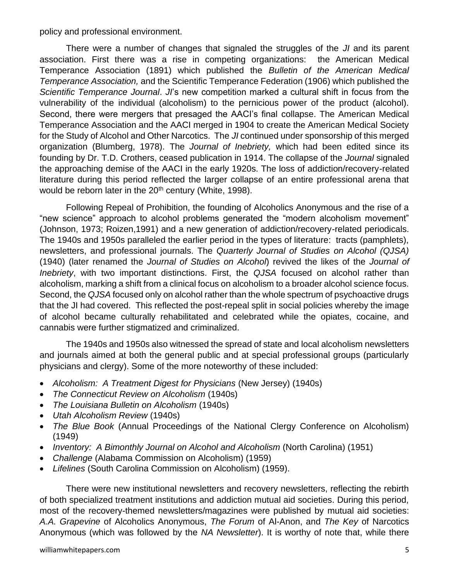policy and professional environment.

There were a number of changes that signaled the struggles of the *JI* and its parent association. First there was a rise in competing organizations: the American Medical Temperance Association (1891) which published the *Bulletin of the American Medical Temperance Association,* and the Scientific Temperance Federation (1906) which published the *Scientific Temperance Journal*. *JI*'s new competition marked a cultural shift in focus from the vulnerability of the individual (alcoholism) to the pernicious power of the product (alcohol). Second, there were mergers that presaged the AACI's final collapse. The American Medical Temperance Association and the AACI merged in 1904 to create the American Medical Society for the Study of Alcohol and Other Narcotics. The *JI* continued under sponsorship of this merged organization (Blumberg, 1978). The *Journal of Inebriety,* which had been edited since its founding by Dr. T.D. Crothers, ceased publication in 1914. The collapse of the *Journal* signaled the approaching demise of the AACI in the early 1920s. The loss of addiction/recovery-related literature during this period reflected the larger collapse of an entire professional arena that would be reborn later in the 20<sup>th</sup> century (White, 1998).

Following Repeal of Prohibition, the founding of Alcoholics Anonymous and the rise of a "new science" approach to alcohol problems generated the "modern alcoholism movement" (Johnson, 1973; Roizen,1991) and a new generation of addiction/recovery-related periodicals. The 1940s and 1950s paralleled the earlier period in the types of literature: tracts (pamphlets), newsletters, and professional journals. The *Quarterly Journal of Studies on Alcohol (QJSA)* (1940) (later renamed the *Journal of Studies on Alcohol*) revived the likes of the *Journal of Inebriety*, with two important distinctions. First, the *QJSA* focused on alcohol rather than alcoholism, marking a shift from a clinical focus on alcoholism to a broader alcohol science focus. Second, the *QJSA* focused only on alcohol rather than the whole spectrum of psychoactive drugs that the JI had covered. This reflected the post-repeal split in social policies whereby the image of alcohol became culturally rehabilitated and celebrated while the opiates, cocaine, and cannabis were further stigmatized and criminalized.

The 1940s and 1950s also witnessed the spread of state and local alcoholism newsletters and journals aimed at both the general public and at special professional groups (particularly physicians and clergy). Some of the more noteworthy of these included:

- *Alcoholism: A Treatment Digest for Physicians* (New Jersey) (1940s)
- *The Connecticut Review on Alcoholism* (1940s)
- *The Louisiana Bulletin on Alcoholism* (1940s)
- *Utah Alcoholism Review* (1940s)
- *The Blue Book* (Annual Proceedings of the National Clergy Conference on Alcoholism) (1949)
- *Inventory: A Bimonthly Journal on Alcohol and Alcoholism* (North Carolina) (1951)
- *Challenge* (Alabama Commission on Alcoholism) (1959)
- *Lifelines* (South Carolina Commission on Alcoholism) (1959).

There were new institutional newsletters and recovery newsletters, reflecting the rebirth of both specialized treatment institutions and addiction mutual aid societies. During this period, most of the recovery-themed newsletters/magazines were published by mutual aid societies: *A.A. Grapevine* of Alcoholics Anonymous, *The Forum* of Al-Anon, and *The Key* of Narcotics Anonymous (which was followed by the *NA Newsletter*). It is worthy of note that, while there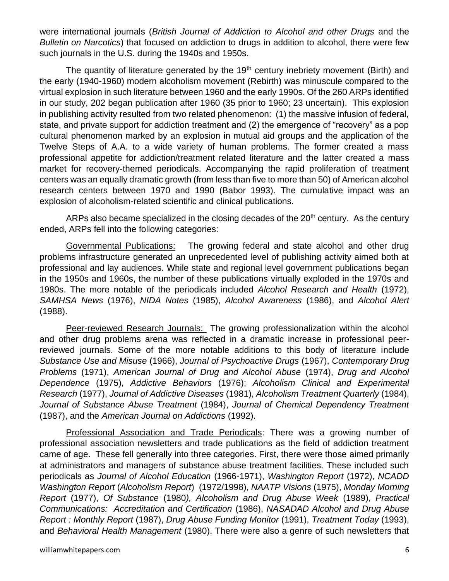were international journals (*British Journal of Addiction to Alcohol and other Drugs* and the *Bulletin on Narcotics*) that focused on addiction to drugs in addition to alcohol, there were few such journals in the U.S. during the 1940s and 1950s.

The quantity of literature generated by the  $19<sup>th</sup>$  century inebriety movement (Birth) and the early (1940-1960) modern alcoholism movement (Rebirth) was minuscule compared to the virtual explosion in such literature between 1960 and the early 1990s. Of the 260 ARPs identified in our study, 202 began publication after 1960 (35 prior to 1960; 23 uncertain). This explosion in publishing activity resulted from two related phenomenon: (1) the massive infusion of federal, state, and private support for addiction treatment and (2) the emergence of "recovery" as a pop cultural phenomenon marked by an explosion in mutual aid groups and the application of the Twelve Steps of A.A. to a wide variety of human problems. The former created a mass professional appetite for addiction/treatment related literature and the latter created a mass market for recovery-themed periodicals. Accompanying the rapid proliferation of treatment centers was an equally dramatic growth (from less than five to more than 50) of American alcohol research centers between 1970 and 1990 (Babor 1993). The cumulative impact was an explosion of alcoholism-related scientific and clinical publications.

ARPs also became specialized in the closing decades of the  $20<sup>th</sup>$  century. As the century ended, ARPs fell into the following categories:

Governmental Publications: The growing federal and state alcohol and other drug problems infrastructure generated an unprecedented level of publishing activity aimed both at professional and lay audiences. While state and regional level government publications began in the 1950s and 1960s, the number of these publications virtually exploded in the 1970s and 1980s. The more notable of the periodicals included *Alcohol Research and Health* (1972), *SAMHSA News* (1976), *NIDA Notes* (1985), *Alcohol Awareness* (1986), and *Alcohol Alert* (1988).

Peer-reviewed Research Journals: The growing professionalization within the alcohol and other drug problems arena was reflected in a dramatic increase in professional peerreviewed journals. Some of the more notable additions to this body of literature include *Substance Use and Misuse* (1966), *Journal of Psychoactive Drugs* (1967), *Contemporary Drug Problems* (1971), *American Journal of Drug and Alcohol Abuse* (1974), *Drug and Alcohol Dependence* (1975), *Addictive Behaviors* (1976); *Alcoholism Clinical and Experimental Research* (1977), *Journal of Addictive Diseases* (1981), *Alcoholism Treatment Quarterly* (1984), *Journal of Substance Abuse Treatment* (1984), *Journal of Chemical Dependency Treatment* (1987), and the *American Journal on Addictions* (1992).

Professional Association and Trade Periodicals: There was a growing number of professional association newsletters and trade publications as the field of addiction treatment came of age. These fell generally into three categories. First, there were those aimed primarily at administrators and managers of substance abuse treatment facilities. These included such periodicals as *Journal of Alcohol Education* (1966-1971), *Washington Report* (1972), *NCADD Washington Report* (*Alcoholism Report*) (1972/1998), *NAATP Visions* (1975), *Monday Morning Report* (1977), *Of Substance* (1980*), Alcoholism and Drug Abuse Week* (1989), *Practical Communications: Accreditation and Certification* (1986), *NASADAD Alcohol and Drug Abuse Report : Monthly Report* (1987), *Drug Abuse Funding Monitor* (1991), *Treatment Today* (1993), and *Behavioral Health Management* (1980). There were also a genre of such newsletters that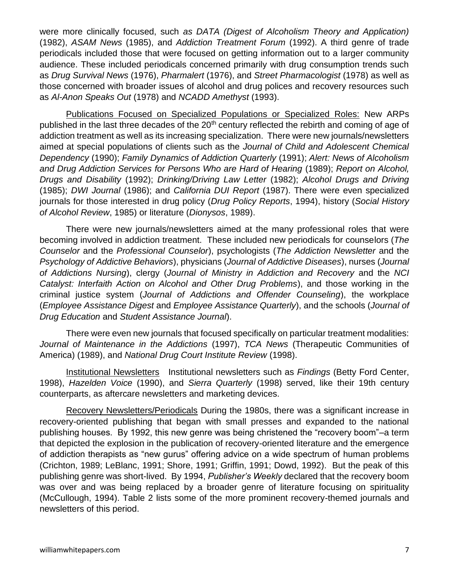were more clinically focused, such *as DATA (Digest of Alcoholism Theory and Application)* (1982), *ASAM News* (1985), and *Addiction Treatment Forum* (1992). A third genre of trade periodicals included those that were focused on getting information out to a larger community audience. These included periodicals concerned primarily with drug consumption trends such as *Drug Survival News* (1976), *Pharmalert* (1976), and *Street Pharmacologist* (1978) as well as those concerned with broader issues of alcohol and drug polices and recovery resources such as *Al-Anon Speaks Out* (1978) and *NCADD Amethyst* (1993).

Publications Focused on Specialized Populations or Specialized Roles: New ARPs published in the last three decades of the 20<sup>th</sup> century reflected the rebirth and coming of age of addiction treatment as well as its increasing specialization. There were new journals/newsletters aimed at special populations of clients such as the *Journal of Child and Adolescent Chemical Dependency* (1990); *Family Dynamics of Addiction Quarterly* (1991); *Alert: News of Alcoholism and Drug Addiction Services for Persons Who are Hard of Hearing* (1989); *Report on Alcohol, Drugs and Disability* (1992); *Drinking/Driving Law Letter* (1982); *Alcohol Drugs and Driving* (1985); *DWI Journal* (1986); and *California DUI Report* (1987). There were even specialized journals for those interested in drug policy (*Drug Policy Reports*, 1994), history (*Social History of Alcohol Review*, 1985) or literature (*Dionysos*, 1989).

There were new journals/newsletters aimed at the many professional roles that were becoming involved in addiction treatment. These included new periodicals for counselors (*The Counselor* and the *Professional Counselor*), psychologists (*The Addiction Newsletter* and the *Psychology of Addictive Behaviors*), physicians (*Journal of Addictive Diseases*), nurses (*Journal of Addictions Nursing*), clergy (*Journal of Ministry in Addiction and Recovery* and the *NCI Catalyst: Interfaith Action on Alcohol and Other Drug Problems*), and those working in the criminal justice system (*Journal of Addictions and Offender Counseling*), the workplace (*Employee Assistance Digest* and *Employee Assistance Quarterly*), and the schools (*Journal of Drug Education* and *Student Assistance Journal*).

There were even new journals that focused specifically on particular treatment modalities: *Journal of Maintenance in the Addictions* (1997), *TCA News* (Therapeutic Communities of America) (1989), and *National Drug Court Institute Review* (1998).

Institutional Newsletters Institutional newsletters such as *Findings* (Betty Ford Center, 1998), *Hazelden Voice* (1990), and *Sierra Quarterly* (1998) served, like their 19th century counterparts, as aftercare newsletters and marketing devices.

Recovery Newsletters/Periodicals During the 1980s, there was a significant increase in recovery-oriented publishing that began with small presses and expanded to the national publishing houses. By 1992, this new genre was being christened the "recovery boom"–a term that depicted the explosion in the publication of recovery-oriented literature and the emergence of addiction therapists as "new gurus" offering advice on a wide spectrum of human problems (Crichton, 1989; LeBlanc, 1991; Shore, 1991; Griffin, 1991; Dowd, 1992). But the peak of this publishing genre was short-lived. By 1994, *Publisher's Weekly* declared that the recovery boom was over and was being replaced by a broader genre of literature focusing on spirituality (McCullough, 1994). Table 2 lists some of the more prominent recovery-themed journals and newsletters of this period.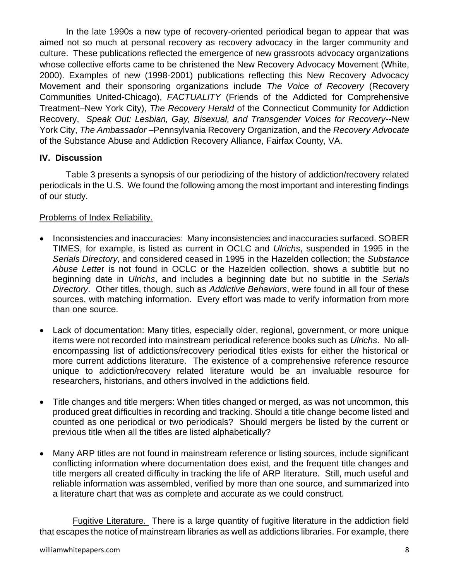In the late 1990s a new type of recovery-oriented periodical began to appear that was aimed not so much at personal recovery as recovery advocacy in the larger community and culture. These publications reflected the emergence of new grassroots advocacy organizations whose collective efforts came to be christened the New Recovery Advocacy Movement (White, 2000). Examples of new (1998-2001) publications reflecting this New Recovery Advocacy Movement and their sponsoring organizations include *The Voice of Recovery* (Recovery Communities United-Chicago), *FACTUALITY* (Friends of the Addicted for Comprehensive Treatment–New York City), *The Recovery Herald* of the Connecticut Community for Addiction Recovery, *Speak Out: Lesbian, Gay, Bisexual, and Transgender Voices for Recovery*--New York City, *The Ambassador* –Pennsylvania Recovery Organization, and the *Recovery Advocate* of the Substance Abuse and Addiction Recovery Alliance, Fairfax County, VA.

#### **IV. Discussion**

Table 3 presents a synopsis of our periodizing of the history of addiction/recovery related periodicals in the U.S. We found the following among the most important and interesting findings of our study.

#### Problems of Index Reliability.

- Inconsistencies and inaccuracies: Many inconsistencies and inaccuracies surfaced. SOBER TIMES, for example, is listed as current in OCLC and *Ulrichs*, suspended in 1995 in the *Serials Directory*, and considered ceased in 1995 in the Hazelden collection; the *Substance Abuse Lette*r is not found in OCLC or the Hazelden collection, shows a subtitle but no beginning date in *Ulrichs*, and includes a beginning date but no subtitle in the *Serials Directory*. Other titles, though, such as *Addictive Behaviors*, were found in all four of these sources, with matching information. Every effort was made to verify information from more than one source.
- Lack of documentation: Many titles, especially older, regional, government, or more unique items were not recorded into mainstream periodical reference books such as *Ulrichs*. No allencompassing list of addictions/recovery periodical titles exists for either the historical or more current addictions literature. The existence of a comprehensive reference resource unique to addiction/recovery related literature would be an invaluable resource for researchers, historians, and others involved in the addictions field.
- Title changes and title mergers: When titles changed or merged, as was not uncommon, this produced great difficulties in recording and tracking. Should a title change become listed and counted as one periodical or two periodicals? Should mergers be listed by the current or previous title when all the titles are listed alphabetically?
- Many ARP titles are not found in mainstream reference or listing sources, include significant conflicting information where documentation does exist, and the frequent title changes and title mergers all created difficulty in tracking the life of ARP literature. Still, much useful and reliable information was assembled, verified by more than one source, and summarized into a literature chart that was as complete and accurate as we could construct.

Fugitive Literature. There is a large quantity of fugitive literature in the addiction field that escapes the notice of mainstream libraries as well as addictions libraries. For example, there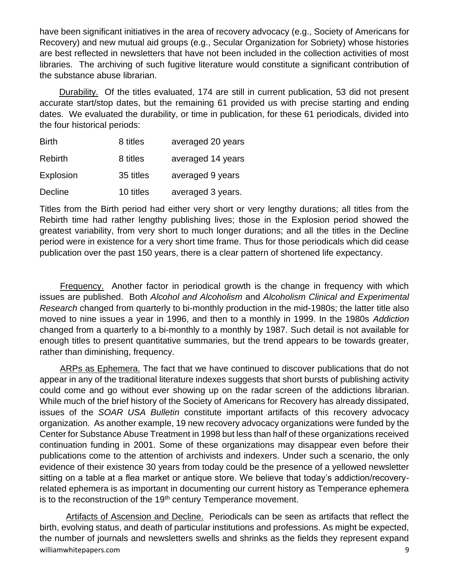have been significant initiatives in the area of recovery advocacy (e.g., Society of Americans for Recovery) and new mutual aid groups (e.g., Secular Organization for Sobriety) whose histories are best reflected in newsletters that have not been included in the collection activities of most libraries. The archiving of such fugitive literature would constitute a significant contribution of the substance abuse librarian.

Durability. Of the titles evaluated, 174 are still in current publication, 53 did not present accurate start/stop dates, but the remaining 61 provided us with precise starting and ending dates. We evaluated the durability, or time in publication, for these 61 periodicals, divided into the four historical periods:

| <b>Birth</b> | 8 titles  | averaged 20 years |
|--------------|-----------|-------------------|
| Rebirth      | 8 titles  | averaged 14 years |
| Explosion    | 35 titles | averaged 9 years  |
| Decline      | 10 titles | averaged 3 years. |

Titles from the Birth period had either very short or very lengthy durations; all titles from the Rebirth time had rather lengthy publishing lives; those in the Explosion period showed the greatest variability, from very short to much longer durations; and all the titles in the Decline period were in existence for a very short time frame. Thus for those periodicals which did cease publication over the past 150 years, there is a clear pattern of shortened life expectancy.

 Frequency. Another factor in periodical growth is the change in frequency with which issues are published. Both *Alcohol and Alcoholism* and *Alcoholism Clinical and Experimental Research* changed from quarterly to bi-monthly production in the mid-1980s; the latter title also moved to nine issues a year in 1996, and then to a monthly in 1999. In the 1980s *Addiction* changed from a quarterly to a bi-monthly to a monthly by 1987. Such detail is not available for enough titles to present quantitative summaries, but the trend appears to be towards greater, rather than diminishing, frequency.

 ARPs as Ephemera. The fact that we have continued to discover publications that do not appear in any of the traditional literature indexes suggests that short bursts of publishing activity could come and go without ever showing up on the radar screen of the addictions librarian. While much of the brief history of the Society of Americans for Recovery has already dissipated, issues of the *SOAR USA Bulletin* constitute important artifacts of this recovery advocacy organization. As another example, 19 new recovery advocacy organizations were funded by the Center for Substance Abuse Treatment in 1998 but less than half of these organizations received continuation funding in 2001. Some of these organizations may disappear even before their publications come to the attention of archivists and indexers. Under such a scenario, the only evidence of their existence 30 years from today could be the presence of a yellowed newsletter sitting on a table at a flea market or antique store. We believe that today's addiction/recoveryrelated ephemera is as important in documenting our current history as Temperance ephemera is to the reconstruction of the 19<sup>th</sup> century Temperance movement.

williamwhitepapers.com 3.9 and 2.0 and 2.0 and 2.0 and 2.0 and 2.0 and 2.0 and 2.0 and 2.0 and 2.0 and 2.0 and 2.0 and 2.0 and 2.0 and 2.0 and 2.0 and 2.0 and 2.0 and 2.0 and 2.0 and 2.0 and 2.0 and 2.0 and 2.0 and 2.0 and Artifacts of Ascension and Decline. Periodicals can be seen as artifacts that reflect the birth, evolving status, and death of particular institutions and professions. As might be expected, the number of journals and newsletters swells and shrinks as the fields they represent expand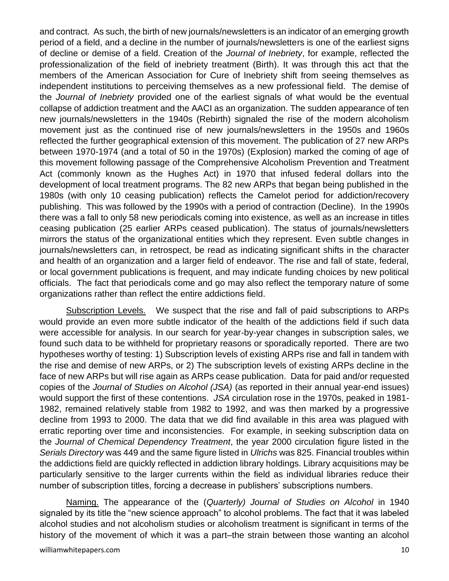and contract. As such, the birth of new journals/newsletters is an indicator of an emerging growth period of a field, and a decline in the number of journals/newsletters is one of the earliest signs of decline or demise of a field. Creation of the *Journal of Inebriety*, for example, reflected the professionalization of the field of inebriety treatment (Birth). It was through this act that the members of the American Association for Cure of Inebriety shift from seeing themselves as independent institutions to perceiving themselves as a new professional field. The demise of the *Journal of Inebriety* provided one of the earliest signals of what would be the eventual collapse of addiction treatment and the AACI as an organization. The sudden appearance of ten new journals/newsletters in the 1940s (Rebirth) signaled the rise of the modern alcoholism movement just as the continued rise of new journals/newsletters in the 1950s and 1960s reflected the further geographical extension of this movement. The publication of 27 new ARPs between 1970-1974 (and a total of 50 in the 1970s) (Explosion) marked the coming of age of this movement following passage of the Comprehensive Alcoholism Prevention and Treatment Act (commonly known as the Hughes Act) in 1970 that infused federal dollars into the development of local treatment programs. The 82 new ARPs that began being published in the 1980s (with only 10 ceasing publication) reflects the Camelot period for addiction/recovery publishing. This was followed by the 1990s with a period of contraction (Decline). In the 1990s there was a fall to only 58 new periodicals coming into existence, as well as an increase in titles ceasing publication (25 earlier ARPs ceased publication). The status of journals/newsletters mirrors the status of the organizational entities which they represent. Even subtle changes in journals/newsletters can, in retrospect, be read as indicating significant shifts in the character and health of an organization and a larger field of endeavor. The rise and fall of state, federal, or local government publications is frequent, and may indicate funding choices by new political officials. The fact that periodicals come and go may also reflect the temporary nature of some organizations rather than reflect the entire addictions field.

Subscription Levels. We suspect that the rise and fall of paid subscriptions to ARPs would provide an even more subtle indicator of the health of the addictions field if such data were accessible for analysis. In our search for year-by-year changes in subscription sales, we found such data to be withheld for proprietary reasons or sporadically reported. There are two hypotheses worthy of testing: 1) Subscription levels of existing ARPs rise and fall in tandem with the rise and demise of new ARPs, or 2) The subscription levels of existing ARPs decline in the face of new ARPs but will rise again as ARPs cease publication. Data for paid and/or requested copies of the *Journal of Studies on Alcohol (JSA)* (as reported in their annual year-end issues) would support the first of these contentions. *JSA* circulation rose in the 1970s, peaked in 1981- 1982, remained relatively stable from 1982 to 1992, and was then marked by a progressive decline from 1993 to 2000. The data that we did find available in this area was plagued with erratic reporting over time and inconsistencies. For example, in seeking subscription data on the *Journal of Chemical Dependency Treatment*, the year 2000 circulation figure listed in the *Serials Directory* was 449 and the same figure listed in *Ulrichs* was 825. Financial troubles within the addictions field are quickly reflected in addiction library holdings. Library acquisitions may be particularly sensitive to the larger currents within the field as individual libraries reduce their number of subscription titles, forcing a decrease in publishers' subscriptions numbers.

Naming. The appearance of the (*Quarterly) Journal of Studies on Alcohol* in 1940 signaled by its title the "new science approach" to alcohol problems. The fact that it was labeled alcohol studies and not alcoholism studies or alcoholism treatment is significant in terms of the history of the movement of which it was a part–the strain between those wanting an alcohol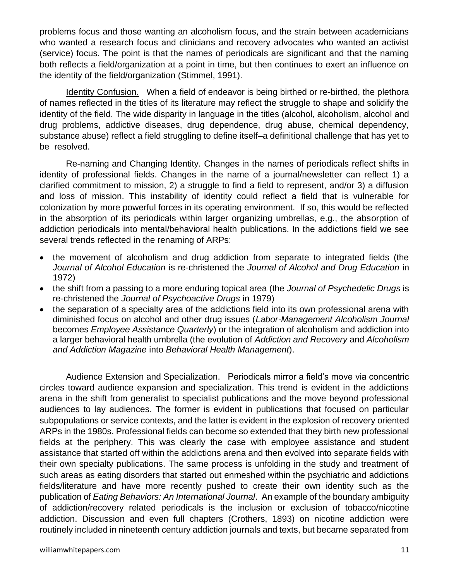problems focus and those wanting an alcoholism focus, and the strain between academicians who wanted a research focus and clinicians and recovery advocates who wanted an activist (service) focus. The point is that the names of periodicals are significant and that the naming both reflects a field/organization at a point in time, but then continues to exert an influence on the identity of the field/organization (Stimmel, 1991).

Identity Confusion. When a field of endeavor is being birthed or re-birthed, the plethora of names reflected in the titles of its literature may reflect the struggle to shape and solidify the identity of the field. The wide disparity in language in the titles (alcohol, alcoholism, alcohol and drug problems, addictive diseases, drug dependence, drug abuse, chemical dependency, substance abuse) reflect a field struggling to define itself–a definitional challenge that has yet to be resolved.

Re-naming and Changing Identity. Changes in the names of periodicals reflect shifts in identity of professional fields. Changes in the name of a journal/newsletter can reflect 1) a clarified commitment to mission, 2) a struggle to find a field to represent, and/or 3) a diffusion and loss of mission. This instability of identity could reflect a field that is vulnerable for colonization by more powerful forces in its operating environment. If so, this would be reflected in the absorption of its periodicals within larger organizing umbrellas, e.g., the absorption of addiction periodicals into mental/behavioral health publications. In the addictions field we see several trends reflected in the renaming of ARPs:

- the movement of alcoholism and drug addiction from separate to integrated fields (the *Journal of Alcohol Education* is re-christened the *Journal of Alcohol and Drug Education* in 1972)
- the shift from a passing to a more enduring topical area (the *Journal of Psychedelic Drugs* is re-christened the *Journal of Psychoactive Drugs* in 1979)
- the separation of a specialty area of the addictions field into its own professional arena with diminished focus on alcohol and other drug issues (*Labor-Management Alcoholism Journal* becomes *Employee Assistance Quarterly*) or the integration of alcoholism and addiction into a larger behavioral health umbrella (the evolution of *Addiction and Recovery* and *Alcoholism and Addiction Magazine* into *Behavioral Health Management*).

Audience Extension and Specialization. Periodicals mirror a field's move via concentric circles toward audience expansion and specialization. This trend is evident in the addictions arena in the shift from generalist to specialist publications and the move beyond professional audiences to lay audiences. The former is evident in publications that focused on particular subpopulations or service contexts, and the latter is evident in the explosion of recovery oriented ARPs in the 1980s. Professional fields can become so extended that they birth new professional fields at the periphery. This was clearly the case with employee assistance and student assistance that started off within the addictions arena and then evolved into separate fields with their own specialty publications. The same process is unfolding in the study and treatment of such areas as eating disorders that started out enmeshed within the psychiatric and addictions fields/literature and have more recently pushed to create their own identity such as the publication of *Eating Behaviors: An International Journal*. An example of the boundary ambiguity of addiction/recovery related periodicals is the inclusion or exclusion of tobacco/nicotine addiction. Discussion and even full chapters (Crothers, 1893) on nicotine addiction were routinely included in nineteenth century addiction journals and texts, but became separated from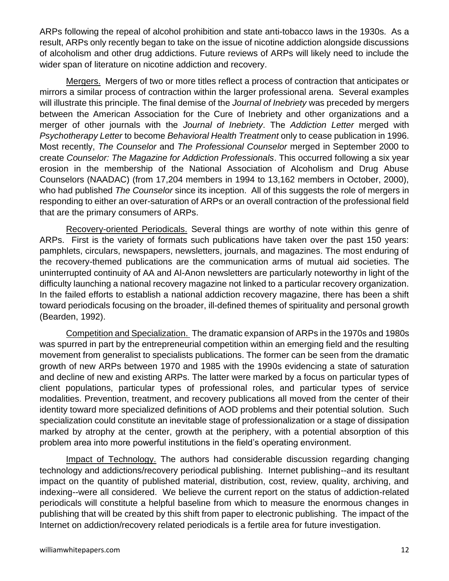ARPs following the repeal of alcohol prohibition and state anti-tobacco laws in the 1930s. As a result, ARPs only recently began to take on the issue of nicotine addiction alongside discussions of alcoholism and other drug addictions. Future reviews of ARPs will likely need to include the wider span of literature on nicotine addiction and recovery.

Mergers. Mergers of two or more titles reflect a process of contraction that anticipates or mirrors a similar process of contraction within the larger professional arena. Several examples will illustrate this principle. The final demise of the *Journal of Inebriety* was preceded by mergers between the American Association for the Cure of Inebriety and other organizations and a merger of other journals with the *Journal of Inebriety*. The *Addiction Letter* merged with *Psychotherapy Letter* to become *Behavioral Health Treatment* only to cease publication in 1996. Most recently, *The Counselor* and *The Professional Counselor* merged in September 2000 to create *Counselor: The Magazine for Addiction Professionals*. This occurred following a six year erosion in the membership of the National Association of Alcoholism and Drug Abuse Counselors (NAADAC) (from 17,204 members in 1994 to 13,162 members in October, 2000), who had published *The Counselor* since its inception. All of this suggests the role of mergers in responding to either an over-saturation of ARPs or an overall contraction of the professional field that are the primary consumers of ARPs.

Recovery-oriented Periodicals. Several things are worthy of note within this genre of ARPs. First is the variety of formats such publications have taken over the past 150 years: pamphlets, circulars, newspapers, newsletters, journals, and magazines. The most enduring of the recovery-themed publications are the communication arms of mutual aid societies. The uninterrupted continuity of AA and Al-Anon newsletters are particularly noteworthy in light of the difficulty launching a national recovery magazine not linked to a particular recovery organization. In the failed efforts to establish a national addiction recovery magazine, there has been a shift toward periodicals focusing on the broader, ill-defined themes of spirituality and personal growth (Bearden, 1992).

Competition and Specialization. The dramatic expansion of ARPs in the 1970s and 1980s was spurred in part by the entrepreneurial competition within an emerging field and the resulting movement from generalist to specialists publications. The former can be seen from the dramatic growth of new ARPs between 1970 and 1985 with the 1990s evidencing a state of saturation and decline of new and existing ARPs. The latter were marked by a focus on particular types of client populations, particular types of professional roles, and particular types of service modalities. Prevention, treatment, and recovery publications all moved from the center of their identity toward more specialized definitions of AOD problems and their potential solution. Such specialization could constitute an inevitable stage of professionalization or a stage of dissipation marked by atrophy at the center, growth at the periphery, with a potential absorption of this problem area into more powerful institutions in the field's operating environment.

Impact of Technology. The authors had considerable discussion regarding changing technology and addictions/recovery periodical publishing. Internet publishing--and its resultant impact on the quantity of published material, distribution, cost, review, quality, archiving, and indexing--were all considered. We believe the current report on the status of addiction-related periodicals will constitute a helpful baseline from which to measure the enormous changes in publishing that will be created by this shift from paper to electronic publishing. The impact of the Internet on addiction/recovery related periodicals is a fertile area for future investigation.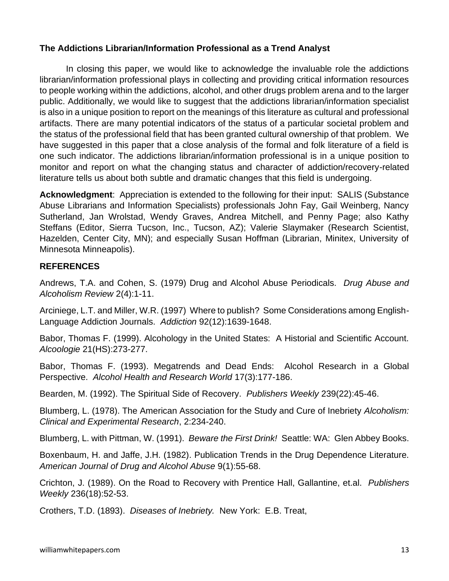#### **The Addictions Librarian/Information Professional as a Trend Analyst**

In closing this paper, we would like to acknowledge the invaluable role the addictions librarian/information professional plays in collecting and providing critical information resources to people working within the addictions, alcohol, and other drugs problem arena and to the larger public. Additionally, we would like to suggest that the addictions librarian/information specialist is also in a unique position to report on the meanings of this literature as cultural and professional artifacts. There are many potential indicators of the status of a particular societal problem and the status of the professional field that has been granted cultural ownership of that problem. We have suggested in this paper that a close analysis of the formal and folk literature of a field is one such indicator. The addictions librarian/information professional is in a unique position to monitor and report on what the changing status and character of addiction/recovery-related literature tells us about both subtle and dramatic changes that this field is undergoing.

**Acknowledgment**: Appreciation is extended to the following for their input: SALIS (Substance Abuse Librarians and Information Specialists) professionals John Fay, Gail Weinberg, Nancy Sutherland, Jan Wrolstad, Wendy Graves, Andrea Mitchell, and Penny Page; also Kathy Steffans (Editor, Sierra Tucson, Inc., Tucson, AZ); Valerie Slaymaker (Research Scientist, Hazelden, Center City, MN); and especially Susan Hoffman (Librarian, Minitex, University of Minnesota Minneapolis).

#### **REFERENCES**

Andrews, T.A. and Cohen, S. (1979) Drug and Alcohol Abuse Periodicals. *Drug Abuse and Alcoholism Review* 2(4):1-11.

Arciniege, L.T. and Miller, W.R. (1997) Where to publish? Some Considerations among English-Language Addiction Journals. *Addiction* 92(12):1639-1648.

Babor, Thomas F. (1999). Alcohology in the United States: A Historial and Scientific Account. *Alcoologie* 21(HS):273-277.

Babor, Thomas F. (1993). Megatrends and Dead Ends: Alcohol Research in a Global Perspective. *Alcohol Health and Research World* 17(3):177-186.

Bearden, M. (1992). The Spiritual Side of Recovery. *Publishers Weekly* 239(22):45-46.

Blumberg, L. (1978). The American Association for the Study and Cure of Inebriety *Alcoholism: Clinical and Experimental Research*, 2:234-240.

Blumberg, L. with Pittman, W. (1991). *Beware the First Drink!* Seattle: WA: Glen Abbey Books.

Boxenbaum, H. and Jaffe, J.H. (1982). Publication Trends in the Drug Dependence Literature. *American Journal of Drug and Alcohol Abuse* 9(1):55-68.

Crichton, J. (1989). On the Road to Recovery with Prentice Hall, Gallantine, et.al. *Publishers Weekly* 236(18):52-53.

Crothers, T.D. (1893). *Diseases of Inebriety.* New York: E.B. Treat,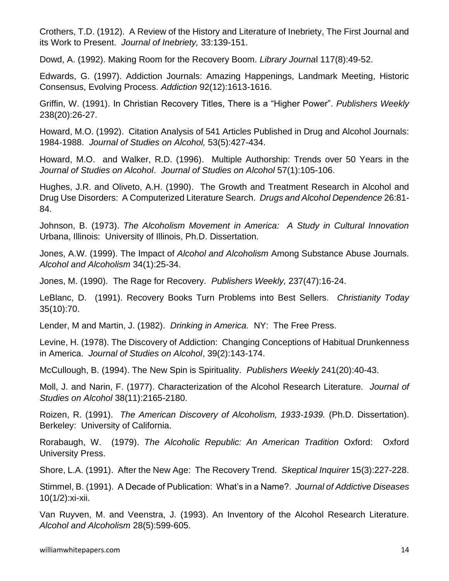Crothers, T.D. (1912). A Review of the History and Literature of Inebriety, The First Journal and its Work to Present. *Journal of Inebriety,* 33:139-151.

Dowd, A. (1992). Making Room for the Recovery Boom. *Library Journa*l 117(8):49-52.

Edwards, G. (1997). Addiction Journals: Amazing Happenings, Landmark Meeting, Historic Consensus, Evolving Process. *Addiction* 92(12):1613-1616.

Griffin, W. (1991). In Christian Recovery Titles, There is a "Higher Power". *Publishers Weekly*  238(20):26-27.

Howard, M.O. (1992). Citation Analysis of 541 Articles Published in Drug and Alcohol Journals: 1984-1988. *Journal of Studies on Alcohol,* 53(5):427-434.

Howard, M.O. and Walker, R.D. (1996). Multiple Authorship: Trends over 50 Years in the *Journal of Studies on Alcohol*. *Journal of Studies on Alcohol* 57(1):105-106.

Hughes, J.R. and Oliveto, A.H. (1990). The Growth and Treatment Research in Alcohol and Drug Use Disorders: A Computerized Literature Search. *Drugs and Alcohol Dependence* 26:81- 84.

Johnson, B. (1973). *The Alcoholism Movement in America: A Study in Cultural Innovation* Urbana, Illinois: University of Illinois, Ph.D. Dissertation.

Jones, A.W. (1999). The Impact of *Alcohol and Alcoholism* Among Substance Abuse Journals. *Alcohol and Alcoholism* 34(1):25-34.

Jones, M. (1990). The Rage for Recovery. *Publishers Weekly,* 237(47):16-24.

LeBlanc, D. (1991). Recovery Books Turn Problems into Best Sellers. *Christianity Today*  35(10):70.

Lender, M and Martin, J. (1982). *Drinking in America.* NY: The Free Press.

Levine, H. (1978). The Discovery of Addiction: Changing Conceptions of Habitual Drunkenness in America. *Journal of Studies on Alcohol*, 39(2):143-174.

McCullough, B. (1994). The New Spin is Spirituality. *Publishers Weekly* 241(20):40-43.

Moll, J. and Narin, F. (1977). Characterization of the Alcohol Research Literature. *Journal of Studies on Alcohol* 38(11):2165-2180.

Roizen, R. (1991). *The American Discovery of Alcoholism, 1933-1939.* (Ph.D. Dissertation). Berkeley: University of California.

Rorabaugh, W. (1979). *The Alcoholic Republic: An American Tradition* Oxford: Oxford University Press.

Shore, L.A. (1991). After the New Age: The Recovery Trend. *Skeptical Inquirer* 15(3):227-228.

Stimmel, B. (1991). A Decade of Publication: What's in a Name?. *J*o*urnal of Addictive Diseases*  10(1/2):xi-xii.

Van Ruyven, M. and Veenstra, J. (1993). An Inventory of the Alcohol Research Literature. *Alcohol and Alcoholism* 28(5):599-605.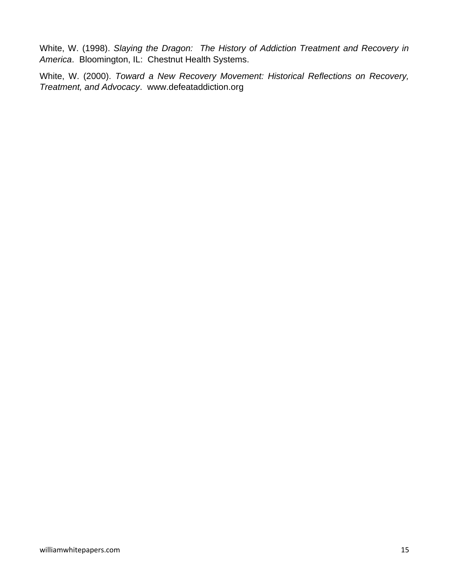White, W. (1998). *Slaying the Dragon: The History of Addiction Treatment and Recovery in America*. Bloomington, IL: Chestnut Health Systems.

White, W. (2000). *Toward a New Recovery Movement: Historical Reflections on Recovery, Treatment, and Advocacy*. www.defeataddiction.org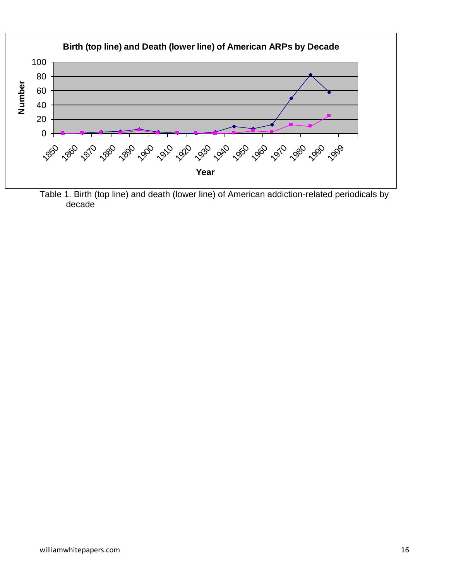

Table 1. Birth (top line) and death (lower line) of American addiction-related periodicals by decade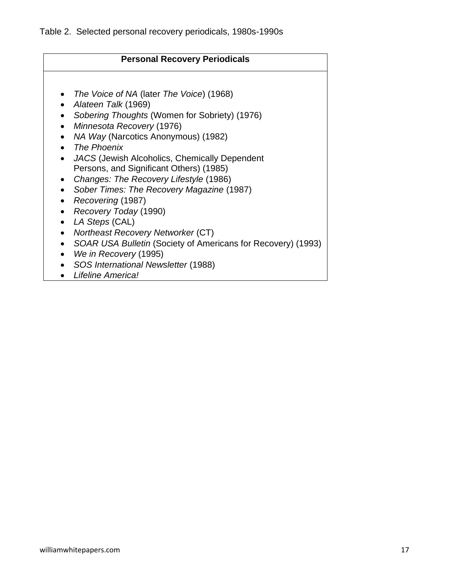## **Personal Recovery Periodicals** • *The Voice of NA* (later *The Voice*) (1968) • *Alateen Talk* (1969) • *Sobering Thoughts* (Women for Sobriety) (1976) • *Minnesota Recovery* (1976) • *NA Way* (Narcotics Anonymous) (1982) • *The Phoenix* • *JACS* (Jewish Alcoholics, Chemically Dependent Persons, and Significant Others) (1985) • *Changes: The Recovery Lifestyle* (1986) • *Sober Times: The Recovery Magazine* (1987) • *Recovering* (1987) • *Recovery Today* (1990) • *LA Steps* (CAL) • *Northeast Recovery Networker* (CT) • *SOAR USA Bulletin* (Society of Americans for Recovery) (1993) • *We in Recovery* (1995) • *SOS International Newsletter* (1988)

• *Lifeline America!*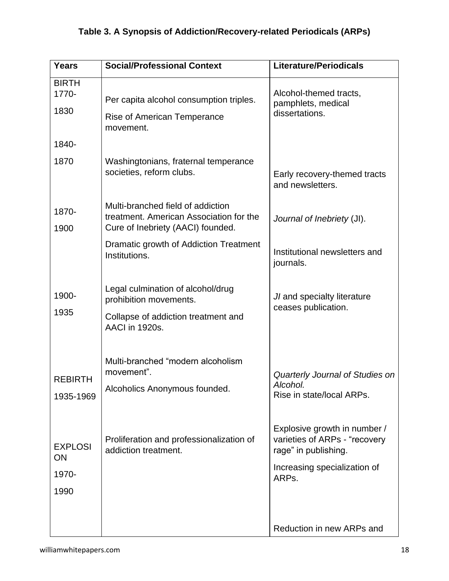# **Table 3. A Synopsis of Addiction/Recovery-related Periodicals (ARPs)**

| <b>Years</b>                          | <b>Social/Professional Context</b>                                                                                          | <b>Literature/Periodicals</b>                                                                                                  |
|---------------------------------------|-----------------------------------------------------------------------------------------------------------------------------|--------------------------------------------------------------------------------------------------------------------------------|
| <b>BIRTH</b><br>1770-<br>1830         | Per capita alcohol consumption triples.<br>Rise of American Temperance<br>movement.                                         | Alcohol-themed tracts,<br>pamphlets, medical<br>dissertations.                                                                 |
| 1840-                                 |                                                                                                                             |                                                                                                                                |
| 1870                                  | Washingtonians, fraternal temperance<br>societies, reform clubs.                                                            | Early recovery-themed tracts<br>and newsletters.                                                                               |
| 1870-<br>1900                         | Multi-branched field of addiction<br>treatment. American Association for the<br>Cure of Inebriety (AACI) founded.           | Journal of Inebriety (JI).                                                                                                     |
|                                       | Dramatic growth of Addiction Treatment<br>Institutions.                                                                     | Institutional newsletters and<br>journals.                                                                                     |
| 1900-<br>1935                         | Legal culmination of alcohol/drug<br>prohibition movements.<br>Collapse of addiction treatment and<br><b>AACI</b> in 1920s. | JI and specialty literature<br>ceases publication.                                                                             |
| <b>REBIRTH</b><br>1935-1969           | Multi-branched "modern alcoholism<br>movement".<br>Alcoholics Anonymous founded.                                            | Quarterly Journal of Studies on<br>Alcohol.<br>Rise in state/local ARPs.                                                       |
| <b>EXPLOSI</b><br>ON<br>1970-<br>1990 | Proliferation and professionalization of<br>addiction treatment.                                                            | Explosive growth in number /<br>varieties of ARPs - "recovery<br>rage" in publishing.<br>Increasing specialization of<br>ARPs. |
|                                       |                                                                                                                             | Reduction in new ARPs and                                                                                                      |